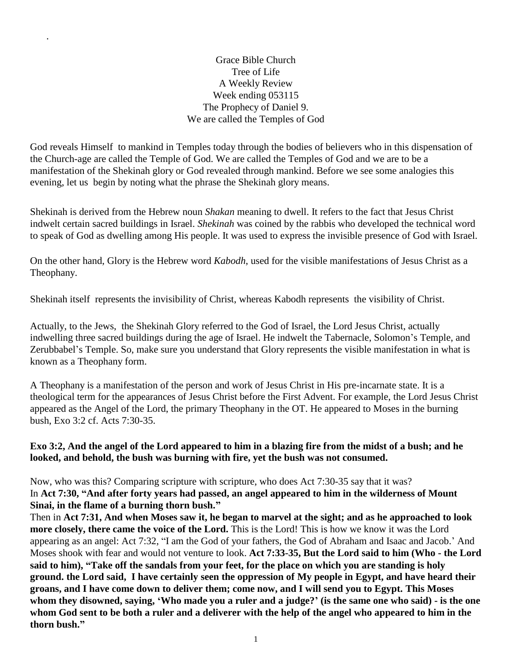Grace Bible Church Tree of Life A Weekly Review Week ending 053115 The Prophecy of Daniel 9. We are called the Temples of God

.

God reveals Himself to mankind in Temples today through the bodies of believers who in this dispensation of the Church-age are called the Temple of God. We are called the Temples of God and we are to be a manifestation of the Shekinah glory or God revealed through mankind. Before we see some analogies this evening, let us begin by noting what the phrase the Shekinah glory means.

Shekinah is derived from the Hebrew noun *Shakan* meaning to dwell. It refers to the fact that Jesus Christ indwelt certain sacred buildings in Israel. *Shekinah* was coined by the rabbis who developed the technical word to speak of God as dwelling among His people. It was used to express the invisible presence of God with Israel.

On the other hand, Glory is the Hebrew word *Kabodh*, used for the visible manifestations of Jesus Christ as a Theophany.

Shekinah itself represents the invisibility of Christ, whereas Kabodh represents the visibility of Christ.

Actually, to the Jews, the Shekinah Glory referred to the God of Israel, the Lord Jesus Christ, actually indwelling three sacred buildings during the age of Israel. He indwelt the Tabernacle, Solomon's Temple, and Zerubbabel's Temple. So, make sure you understand that Glory represents the visible manifestation in what is known as a Theophany form.

A Theophany is a manifestation of the person and work of Jesus Christ in His pre-incarnate state. It is a theological term for the appearances of Jesus Christ before the First Advent. For example, the Lord Jesus Christ appeared as the Angel of the Lord, the primary Theophany in the OT. He appeared to Moses in the burning bush, Exo 3:2 cf. Acts 7:30-35.

## **Exo 3:2, And the angel of the Lord appeared to him in a blazing fire from the midst of a bush; and he looked, and behold, the bush was burning with fire, yet the bush was not consumed.**

Now, who was this? Comparing scripture with scripture, who does Act 7:30-35 say that it was? In **Act 7:30, "And after forty years had passed, an angel appeared to him in the wilderness of Mount Sinai, in the flame of a burning thorn bush."**

Then in **Act 7:31, And when Moses saw it, he began to marvel at the sight; and as he approached to look more closely, there came the voice of the Lord.** This is the Lord! This is how we know it was the Lord appearing as an angel: Act 7:32, "I am the God of your fathers, the God of Abraham and Isaac and Jacob.' And Moses shook with fear and would not venture to look. **Act 7:33-35, But the Lord said to him (Who - the Lord said to him), "Take off the sandals from your feet, for the place on which you are standing is holy ground. the Lord said, I have certainly seen the oppression of My people in Egypt, and have heard their groans, and I have come down to deliver them; come now, and I will send you to Egypt. This Moses whom they disowned, saying, 'Who made you a ruler and a judge?' (is the same one who said) - is the one whom God sent to be both a ruler and a deliverer with the help of the angel who appeared to him in the thorn bush."**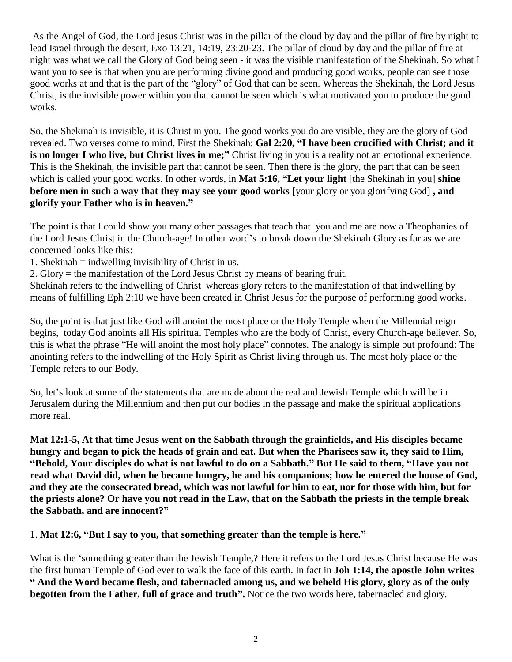As the Angel of God, the Lord jesus Christ was in the pillar of the cloud by day and the pillar of fire by night to lead Israel through the desert, Exo 13:21, 14:19, 23:20-23. The pillar of cloud by day and the pillar of fire at night was what we call the Glory of God being seen - it was the visible manifestation of the Shekinah. So what I want you to see is that when you are performing divine good and producing good works, people can see those good works at and that is the part of the "glory" of God that can be seen. Whereas the Shekinah, the Lord Jesus Christ, is the invisible power within you that cannot be seen which is what motivated you to produce the good works.

So, the Shekinah is invisible, it is Christ in you. The good works you do are visible, they are the glory of God revealed. Two verses come to mind. First the Shekinah: **Gal 2:20, "I have been crucified with Christ; and it is no longer I who live, but Christ lives in me;"** Christ living in you is a reality not an emotional experience. This is the Shekinah, the invisible part that cannot be seen. Then there is the glory, the part that can be seen which is called your good works. In other words, in **Mat 5:16, "Let your light** [the Shekinah in you] **shine before men in such a way that they may see your good works** [your glory or you glorifying God] **, and glorify your Father who is in heaven."**

The point is that I could show you many other passages that teach that you and me are now a Theophanies of the Lord Jesus Christ in the Church-age! In other word's to break down the Shekinah Glory as far as we are concerned looks like this:

1. Shekinah  $=$  indwelling invisibility of Christ in us.

2. Glory = the manifestation of the Lord Jesus Christ by means of bearing fruit.

Shekinah refers to the indwelling of Christ whereas glory refers to the manifestation of that indwelling by means of fulfilling Eph 2:10 we have been created in Christ Jesus for the purpose of performing good works.

So, the point is that just like God will anoint the most place or the Holy Temple when the Millennial reign begins, today God anoints all His spiritual Temples who are the body of Christ, every Church-age believer. So, this is what the phrase "He will anoint the most holy place" connotes. The analogy is simple but profound: The anointing refers to the indwelling of the Holy Spirit as Christ living through us. The most holy place or the Temple refers to our Body.

So, let's look at some of the statements that are made about the real and Jewish Temple which will be in Jerusalem during the Millennium and then put our bodies in the passage and make the spiritual applications more real.

**Mat 12:1-5, At that time Jesus went on the Sabbath through the grainfields, and His disciples became hungry and began to pick the heads of grain and eat. But when the Pharisees saw it, they said to Him, "Behold, Your disciples do what is not lawful to do on a Sabbath." But He said to them, "Have you not read what David did, when he became hungry, he and his companions; how he entered the house of God, and they ate the consecrated bread, which was not lawful for him to eat, nor for those with him, but for the priests alone? Or have you not read in the Law, that on the Sabbath the priests in the temple break the Sabbath, and are innocent?"**

1. **Mat 12:6, "But I say to you, that something greater than the temple is here."**

What is the 'something greater than the Jewish Temple,? Here it refers to the Lord Jesus Christ because He was the first human Temple of God ever to walk the face of this earth. In fact in **Joh 1:14, the apostle John writes " And the Word became flesh, and tabernacled among us, and we beheld His glory, glory as of the only begotten from the Father, full of grace and truth".** Notice the two words here, tabernacled and glory.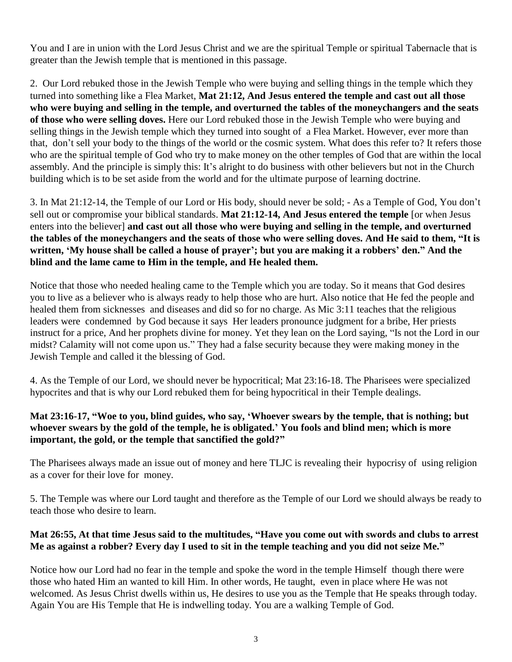You and I are in union with the Lord Jesus Christ and we are the spiritual Temple or spiritual Tabernacle that is greater than the Jewish temple that is mentioned in this passage.

2. Our Lord rebuked those in the Jewish Temple who were buying and selling things in the temple which they turned into something like a Flea Market, **Mat 21:12, And Jesus entered the temple and cast out all those who were buying and selling in the temple, and overturned the tables of the moneychangers and the seats of those who were selling doves.** Here our Lord rebuked those in the Jewish Temple who were buying and selling things in the Jewish temple which they turned into sought of a Flea Market. However, ever more than that, don't sell your body to the things of the world or the cosmic system. What does this refer to? It refers those who are the spiritual temple of God who try to make money on the other temples of God that are within the local assembly. And the principle is simply this: It's alright to do business with other believers but not in the Church building which is to be set aside from the world and for the ultimate purpose of learning doctrine.

3. In Mat 21:12-14, the Temple of our Lord or His body, should never be sold; - As a Temple of God, You don't sell out or compromise your biblical standards. **Mat 21:12-14, And Jesus entered the temple** [or when Jesus enters into the believer] **and cast out all those who were buying and selling in the temple, and overturned the tables of the moneychangers and the seats of those who were selling doves. And He said to them, "It is written, 'My house shall be called a house of prayer'; but you are making it a robbers' den." And the blind and the lame came to Him in the temple, and He healed them.**

Notice that those who needed healing came to the Temple which you are today. So it means that God desires you to live as a believer who is always ready to help those who are hurt. Also notice that He fed the people and healed them from sicknesses and diseases and did so for no charge. As Mic 3:11 teaches that the religious leaders were condemned by God because it says Her leaders pronounce judgment for a bribe, Her priests instruct for a price, And her prophets divine for money. Yet they lean on the Lord saying, "Is not the Lord in our midst? Calamity will not come upon us." They had a false security because they were making money in the Jewish Temple and called it the blessing of God.

4. As the Temple of our Lord, we should never be hypocritical; Mat 23:16-18. The Pharisees were specialized hypocrites and that is why our Lord rebuked them for being hypocritical in their Temple dealings.

# **Mat 23:16-17, "Woe to you, blind guides, who say, 'Whoever swears by the temple, that is nothing; but whoever swears by the gold of the temple, he is obligated.' You fools and blind men; which is more important, the gold, or the temple that sanctified the gold?"**

The Pharisees always made an issue out of money and here TLJC is revealing their hypocrisy of using religion as a cover for their love for money.

5. The Temple was where our Lord taught and therefore as the Temple of our Lord we should always be ready to teach those who desire to learn.

## **Mat 26:55, At that time Jesus said to the multitudes, "Have you come out with swords and clubs to arrest Me as against a robber? Every day I used to sit in the temple teaching and you did not seize Me."**

Notice how our Lord had no fear in the temple and spoke the word in the temple Himself though there were those who hated Him an wanted to kill Him. In other words, He taught, even in place where He was not welcomed. As Jesus Christ dwells within us, He desires to use you as the Temple that He speaks through today. Again You are His Temple that He is indwelling today. You are a walking Temple of God.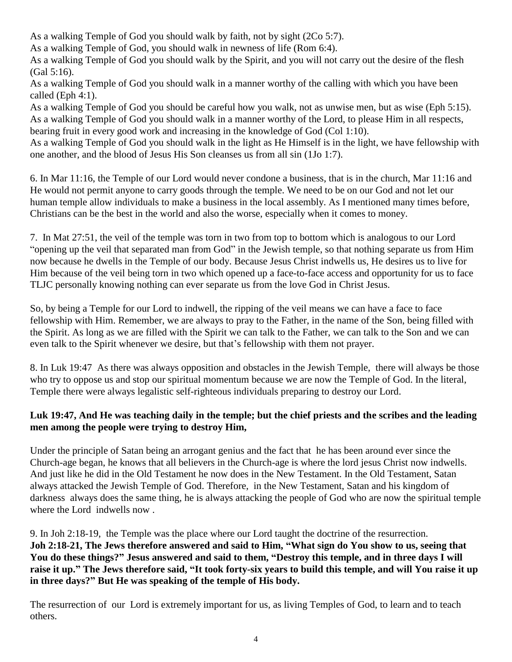As a walking Temple of God you should walk by faith, not by sight (2Co 5:7).

As a walking Temple of God, you should walk in newness of life (Rom 6:4).

As a walking Temple of God you should walk by the Spirit, and you will not carry out the desire of the flesh (Gal 5:16).

As a walking Temple of God you should walk in a manner worthy of the calling with which you have been called (Eph 4:1).

As a walking Temple of God you should be careful how you walk, not as unwise men, but as wise (Eph 5:15). As a walking Temple of God you should walk in a manner worthy of the Lord, to please Him in all respects, bearing fruit in every good work and increasing in the knowledge of God (Col 1:10).

As a walking Temple of God you should walk in the light as He Himself is in the light, we have fellowship with one another, and the blood of Jesus His Son cleanses us from all sin (1Jo 1:7).

6. In Mar 11:16, the Temple of our Lord would never condone a business, that is in the church, Mar 11:16 and He would not permit anyone to carry goods through the temple. We need to be on our God and not let our human temple allow individuals to make a business in the local assembly. As I mentioned many times before, Christians can be the best in the world and also the worse, especially when it comes to money.

7. In Mat 27:51, the veil of the temple was torn in two from top to bottom which is analogous to our Lord "opening up the veil that separated man from God" in the Jewish temple, so that nothing separate us from Him now because he dwells in the Temple of our body. Because Jesus Christ indwells us, He desires us to live for Him because of the veil being torn in two which opened up a face-to-face access and opportunity for us to face TLJC personally knowing nothing can ever separate us from the love God in Christ Jesus.

So, by being a Temple for our Lord to indwell, the ripping of the veil means we can have a face to face fellowship with Him. Remember, we are always to pray to the Father, in the name of the Son, being filled with the Spirit. As long as we are filled with the Spirit we can talk to the Father, we can talk to the Son and we can even talk to the Spirit whenever we desire, but that's fellowship with them not prayer.

8. In Luk 19:47 As there was always opposition and obstacles in the Jewish Temple, there will always be those who try to oppose us and stop our spiritual momentum because we are now the Temple of God. In the literal, Temple there were always legalistic self-righteous individuals preparing to destroy our Lord.

# **Luk 19:47, And He was teaching daily in the temple; but the chief priests and the scribes and the leading men among the people were trying to destroy Him,**

Under the principle of Satan being an arrogant genius and the fact that he has been around ever since the Church-age began, he knows that all believers in the Church-age is where the lord jesus Christ now indwells. And just like he did in the Old Testament he now does in the New Testament. In the Old Testament, Satan always attacked the Jewish Temple of God. Therefore, in the New Testament, Satan and his kingdom of darkness always does the same thing, he is always attacking the people of God who are now the spiritual temple where the Lord indwells now .

9. In Joh 2:18-19, the Temple was the place where our Lord taught the doctrine of the resurrection. **Joh 2:18-21, The Jews therefore answered and said to Him, "What sign do You show to us, seeing that You do these things?" Jesus answered and said to them, "Destroy this temple, and in three days I will raise it up." The Jews therefore said, "It took forty-six years to build this temple, and will You raise it up in three days?" But He was speaking of the temple of His body.**

The resurrection of our Lord is extremely important for us, as living Temples of God, to learn and to teach others.